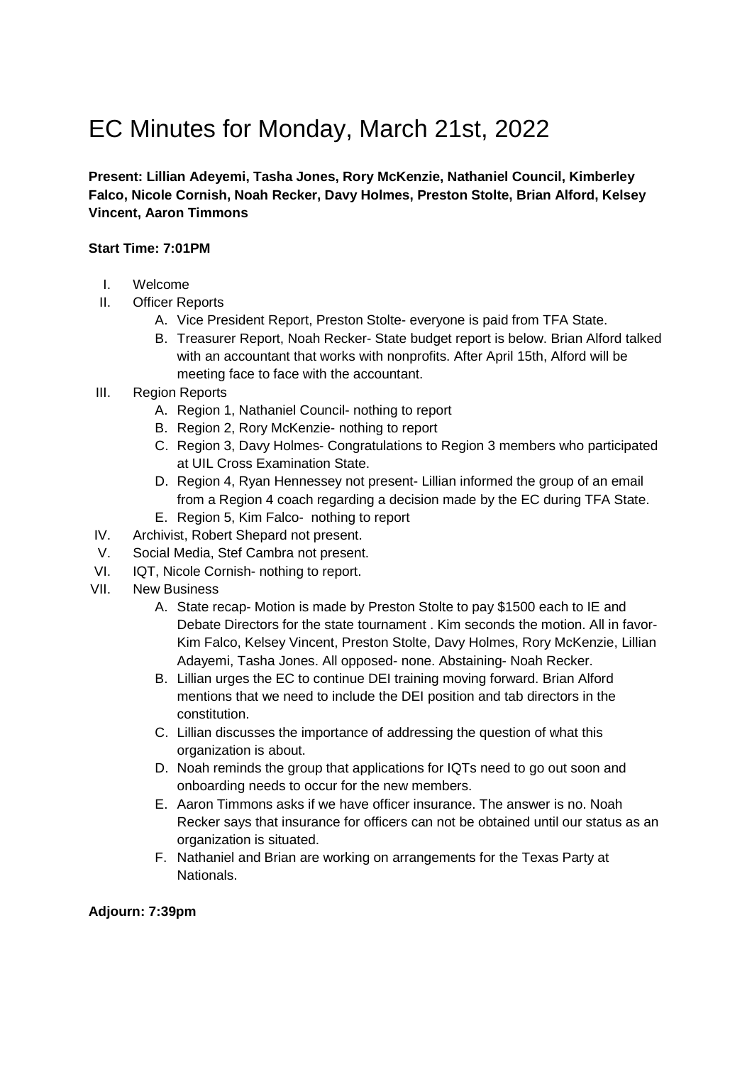# EC Minutes for Monday, March 21st, 2022

**Present: Lillian Adeyemi, Tasha Jones, Rory McKenzie, Nathaniel Council, Kimberley Falco, Nicole Cornish, Noah Recker, Davy Holmes, Preston Stolte, Brian Alford, Kelsey Vincent, Aaron Timmons** 

### **Start Time: 7:01PM**

- I. Welcome
- II. Officer Reports
	- A. Vice President Report, Preston Stolte- everyone is paid from TFA State.
	- B. Treasurer Report, Noah Recker- State budget report is below. Brian Alford talked with an accountant that works with nonprofits. After April 15th, Alford will be meeting face to face with the accountant.
- III. Region Reports
	- A. Region 1, Nathaniel Council- nothing to report
	- B. Region 2, Rory McKenzie- nothing to report
	- C. Region 3, Davy Holmes- Congratulations to Region 3 members who participated at UIL Cross Examination State.
	- D. Region 4, Ryan Hennessey not present- Lillian informed the group of an email from a Region 4 coach regarding a decision made by the EC during TFA State.
	- E. Region 5, Kim Falco- nothing to report
- IV. Archivist, Robert Shepard not present.
- V. Social Media, Stef Cambra not present.
- VI. IQT, Nicole Cornish- nothing to report.
- VII. New Business
	- A. State recap- Motion is made by Preston Stolte to pay \$1500 each to IE and Debate Directors for the state tournament . Kim seconds the motion. All in favor-Kim Falco, Kelsey Vincent, Preston Stolte, Davy Holmes, Rory McKenzie, Lillian Adayemi, Tasha Jones. All opposed- none. Abstaining- Noah Recker.
	- B. Lillian urges the EC to continue DEI training moving forward. Brian Alford mentions that we need to include the DEI position and tab directors in the constitution.
	- C. Lillian discusses the importance of addressing the question of what this organization is about.
	- D. Noah reminds the group that applications for IQTs need to go out soon and onboarding needs to occur for the new members.
	- E. Aaron Timmons asks if we have officer insurance. The answer is no. Noah Recker says that insurance for officers can not be obtained until our status as an organization is situated.
	- F. Nathaniel and Brian are working on arrangements for the Texas Party at Nationals.

### **Adjourn: 7:39pm**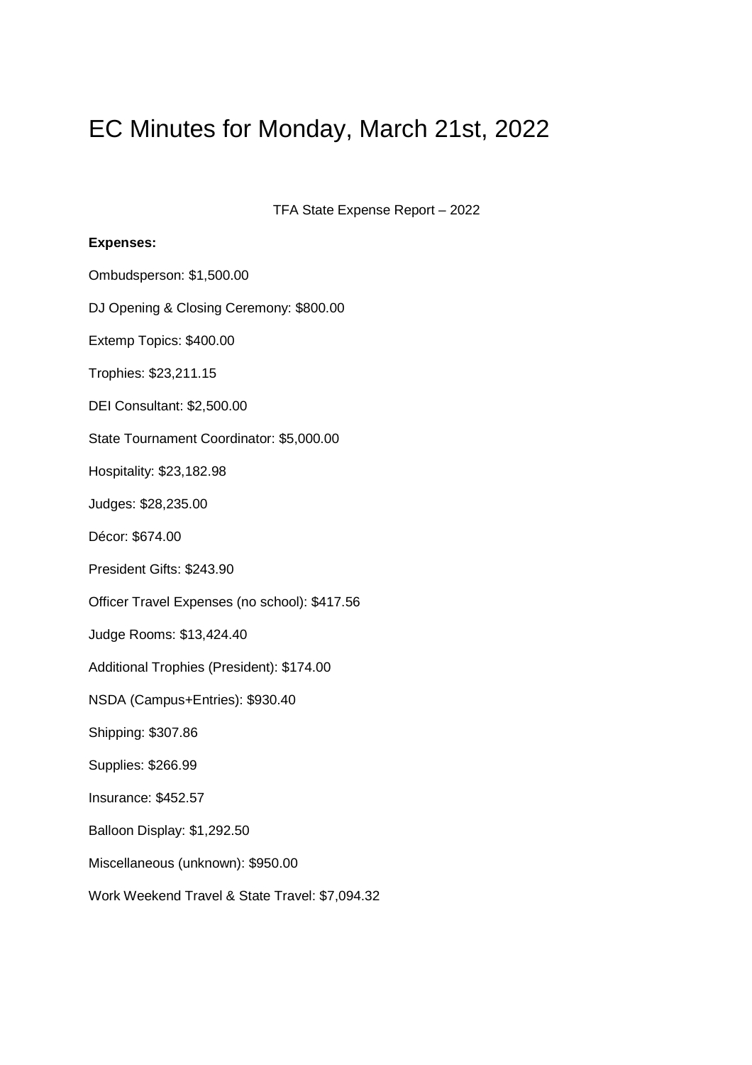# EC Minutes for Monday, March 21st, 2022

TFA State Expense Report – 2022

### **Expenses:**

| Ombudsperson: \$1,500.00                       |
|------------------------------------------------|
| DJ Opening & Closing Ceremony: \$800.00        |
| Extemp Topics: \$400.00                        |
| Trophies: \$23,211.15                          |
| DEI Consultant: \$2,500.00                     |
| State Tournament Coordinator: \$5,000.00       |
| Hospitality: \$23,182.98                       |
| Judges: \$28,235.00                            |
| Décor: \$674.00                                |
| President Gifts: \$243.90                      |
| Officer Travel Expenses (no school): \$417.56  |
| Judge Rooms: \$13,424.40                       |
| Additional Trophies (President): \$174.00      |
| NSDA (Campus+Entries): \$930.40                |
| Shipping: \$307.86                             |
| Supplies: \$266.99                             |
| Insurance: \$452.57                            |
| Balloon Display: \$1,292.50                    |
| Miscellaneous (unknown): \$950.00              |
| Work Weekend Travel & State Travel: \$7,094.32 |